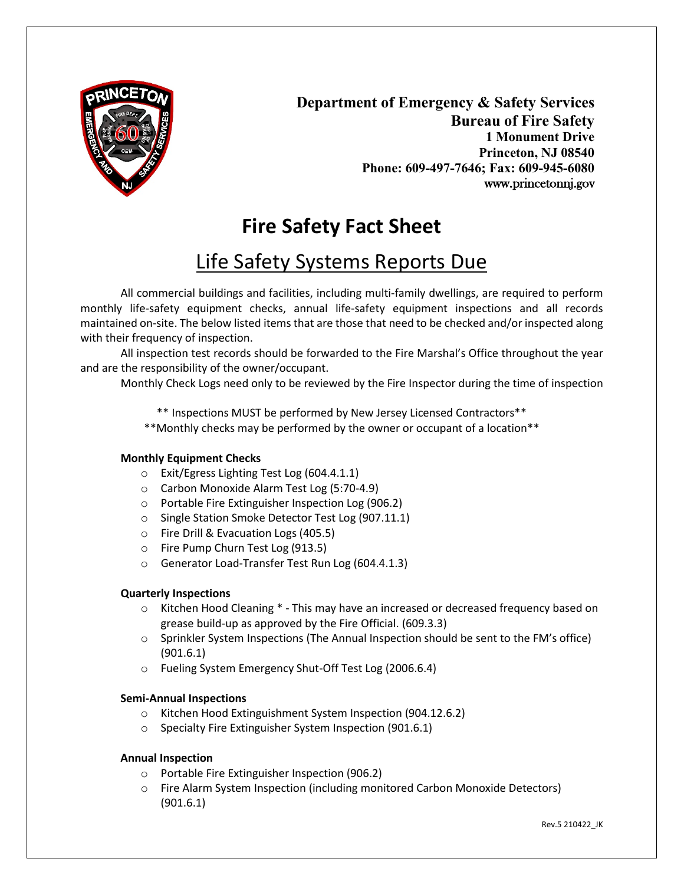

**Department of Emergency & Safety Services Bureau of Fire Safety 1 Monument Drive Princeton, NJ 08540 Phone: 609-497-7646; Fax: 609-945-6080** www.princetonnj.gov

# **Fire Safety Fact Sheet**

## Life Safety Systems Reports Due

All commercial buildings and facilities, including multi-family dwellings, are required to perform monthly life-safety equipment checks, annual life-safety equipment inspections and all records maintained on-site. The below listed items that are those that need to be checked and/or inspected along with their frequency of inspection.

All inspection test records should be forwarded to the Fire Marshal's Office throughout the year and are the responsibility of the owner/occupant.

Monthly Check Logs need only to be reviewed by the Fire Inspector during the time of inspection

\*\* Inspections MUST be performed by New Jersey Licensed Contractors\*\*

\*\*Monthly checks may be performed by the owner or occupant of a location\*\*

## **Monthly Equipment Checks**

- o Exit/Egress Lighting Test Log (604.4.1.1)
- o Carbon Monoxide Alarm Test Log (5:70-4.9)
- o Portable Fire Extinguisher Inspection Log (906.2)
- o Single Station Smoke Detector Test Log (907.11.1)
- o Fire Drill & Evacuation Logs (405.5)
- o Fire Pump Churn Test Log (913.5)
- o Generator Load-Transfer Test Run Log (604.4.1.3)

## **Quarterly Inspections**

- o Kitchen Hood Cleaning \* This may have an increased or decreased frequency based on grease build-up as approved by the Fire Official. (609.3.3)
- o Sprinkler System Inspections (The Annual Inspection should be sent to the FM's office) (901.6.1)
- o Fueling System Emergency Shut-Off Test Log (2006.6.4)

## **Semi-Annual Inspections**

- o Kitchen Hood Extinguishment System Inspection (904.12.6.2)
- o Specialty Fire Extinguisher System Inspection (901.6.1)

## **Annual Inspection**

- o Portable Fire Extinguisher Inspection (906.2)
- o Fire Alarm System Inspection (including monitored Carbon Monoxide Detectors) (901.6.1)